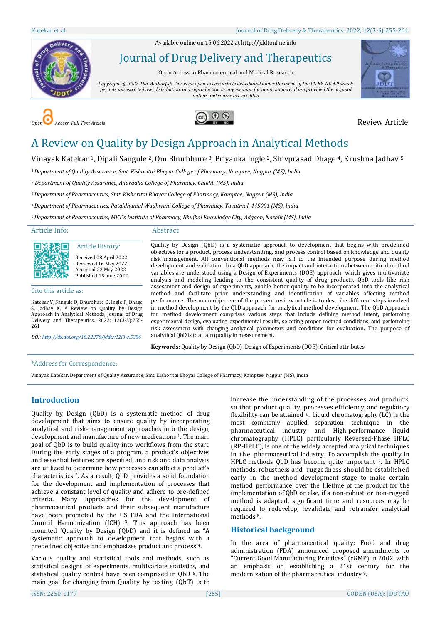Available online on 15.06.2022 a[t http://jddtonline.info](http://jddtonline.info/)



Journal of Drug Delivery and Therapeutics

Open Access to Pharmaceutical and Medical Research

*Copyright © 2022 The Author(s): This is an open-access article distributed under the terms of the CC BY-NC 4.0 which permits unrestricted use, distribution, and reproduction in any medium for non-commercial use provided the original author and source are credited*







# A Review on Quality by Design Approach in Analytical Methods

Vinayak Katekar 1, Dipali Sangule 2, Om Bhurbhure 3, Priyanka Ingle 2, Shivprasad Dhage 4, Krushna Jadhav <sup>5</sup>

*<sup>1</sup>Department of Quality Assurance, Smt. Kishoritai Bhoyar College of Pharmacy, Kamptee, Nagpur (MS), India*

*<sup>2</sup> Department of Quality Assurance, Anuradha College of Pharmacy, Chikhli (MS), India*

*<sup>3</sup>Department of Pharmaceutics, Smt. Kishoritai Bhoyar College of Pharmacy, Kamptee, Nagpur (MS), India*

*<sup>4</sup>Department of Pharmaceutics, Pataldhamal Wadhwani College of Pharmacy, Yavatmal, 445001 (MS), India*

*<sup>5</sup>Department of Pharmaceutics, MET's Institute of Pharmacy, Bhujbal Knowledge City, Adgaon, Nashik (MS), India*

#### Article Info:

#### Abstract

Article History: Received 08 April 2022 Reviewed 16 May 2022 Accepted 22 May 2022 Published 15 June 2022 \_\_\_\_\_\_\_\_\_\_\_\_\_\_\_\_\_\_\_\_\_\_\_\_\_\_\_\_\_\_\_\_\_\_\_\_\_\_\_\_\_\_\_\_\_

#### Cite this article as:

на⊓

Katekar V, Sangule D, Bhurbhure O, Ingle P, Dhage S, Jadhav K, A Review on Quality by Design Approach in Analytical Methods, Journal of Drug Delivery and Therapeutics. 2022; 12(3-S):255- 261

\_\_\_\_\_\_\_\_\_\_\_\_\_\_\_\_\_\_\_\_\_\_\_\_\_\_\_\_\_\_\_\_\_\_\_\_\_\_\_\_\_\_\_\_\_

*DOI[: http://dx.doi.org/10.22270/jddt.v12i3-s.5386](http://dx.doi.org/10.22270/jddt.v12i3-s.5386)* 

\_\_\_\_\_\_\_\_\_\_\_\_\_\_\_\_\_\_\_\_\_\_\_\_\_\_\_\_\_\_\_\_\_\_\_\_\_\_\_\_\_\_\_\_\_\_\_\_\_\_\_\_\_\_\_\_\_\_\_\_\_\_\_\_\_\_\_\_\_\_\_\_\_\_\_\_\_\_\_\_\_\_\_\_\_\_\_\_\_\_\_\_\_\_\_\_\_\_\_\_\_\_\_\_\_\_\_\_\_\_\_\_\_\_\_ Quality by Design (QbD) is a systematic approach to development that begins with predefined objectives for a product, process understanding, and process control based on knowledge and quality risk management. All conventional methods may fail to the intended purpose during method development and validation. In a QbD approach, the impact and interactions between critical method variables are understood using a Design of Experiments (DOE) approach, which gives multivariate analysis and modeling leading to the consistent quality of drug products. QbD tools like risk assessment and design of experiments, enable better quality to be incorporated into the analytical method and facilitate prior understanding and identification of variables affecting method performance. The main objective of the present review article is to describe different steps involved in method development by the QbD approach for analytical method development. The QbD Approach for method development comprises various steps that include defining method intent, performing experimental design, evaluating experimental results, selecting proper method conditions, and performing risk assessment with changing analytical parameters and conditions for evaluation. The purpose of analyticalQbDis toattain qualityin measurement.

**Keywords:** Quality by Design (QbD), Design ofExperiments (DOE), Critical attributes

#### \*Address for Correspondence:

Vinayak Katekar, Department of Quality Assurance, Smt. Kishoritai Bhoyar College of Pharmacy, Kamptee, Nagpur (MS), India

# **Introduction**

Quality by Design (QbD) is a systematic method of drug development that aims to ensure quality by incorporating analytical and risk-management approaches into the design, development and manufacture of new medications <sup>1</sup>. The main goal of QbD is to build quality into workflows from the start. During the early stages of a program, a product's objectives and essential features are specified, and risk and data analysis are utilized to determine how processes can affect a product's characteristics <sup>2</sup>. As a result, QbD provides a solid foundation for the development and implementation of processes that achieve a constant level of quality and adhere to pre-defined criteria. Many approaches for the development of pharmaceutical products and their subsequent manufacture have been promoted by the US FDA and the International Council Harmonization (ICH) <sup>3</sup>. This approach has been mounted 'Quality by Design (QbD) and it is defined as "A systematic approach to development that begins with a predefined objective and emphasizes product and process <sup>4</sup>.

Various quality and statistical tools and methods, such as statistical designs of experiments, multivariate statistics, and statistical quality control have been comprised in QbD <sup>5</sup>. The main goal for changing from Quality by testing (QbT) is to

increase the understanding of the processes and products so that product quality, processes efficiency, and regulatory flexibility can be attained <sup>6</sup>. Liquid chromatography (LC) is the most commonly applied separation technique in the pharmaceutical industry and High-performance liquid chromatography (HPLC) particularly Reversed-Phase HPLC (RP-HPLC), is one of the widely accepted analytical techniques in the pharmaceutical industry. To accomplish the quality in HPLC methods QbD has become quite important <sup>7</sup>. In HPLC methods, robustness and ruggedness should be established early in the method development stage to make certain method performance over the lifetime of the product for the implementation of QbD or else, if a non-robust or non-rugged method is adapted, significant time and resources may be required to redevelop, revalidate and retransfer analytical methods <sup>8</sup>.

# **Historical background**

In the area of pharmaceutical quality; Food and drug administration (FDA) announced proposed amendments to "Current Good Manufacturing Practices" (cGMP) in 2002, with an emphasis on establishing a 21st century for the modernization of the pharmaceutical industry <sup>9</sup>.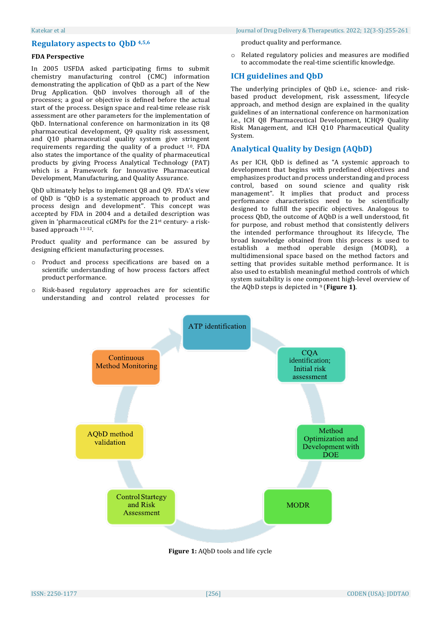# **Regulatory aspects to QbD 4,5,6**

### **FDA Perspective**

In 2005 USFDA asked participating firms to submit chemistry manufacturing control (CMC) information demonstrating the application of QbD as a part of the New Drug Application. QbD involves thorough all of the processes; a goal or objective is defined before the actual start of the process. Design space and real-time release risk assessment are other parameters for the implementation of QbD. International conference on harmonization in its Q8 pharmaceutical development, Q9 quality risk assessment, and Q10 pharmaceutical quality system give stringent requirements regarding the quality of a product <sup>10</sup>. FDA also states the importance of the quality of pharmaceutical products by giving Process Analytical Technology (PAT) which is a Framework for Innovative Pharmaceutical Development, Manufacturing, and Quality Assurance.

QbD ultimately helps to implement Q8 and Q9. FDA's view of QbD is ''QbD is a systematic approach to product and process design and development''. This concept was accepted by FDA in 2004 and a detailed description was given in 'pharmaceutical cGMPs for the 21st century- a riskbased approach 11-12.

Product quality and performance can be assured by designing efficient manufacturing processes.

- o Product and process specifications are based on a scientific understanding of how process factors affect product performance.
- o Risk-based regulatory approaches are for scientific understanding and control related processes for

product quality and performance.

o Related regulatory policies and measures are modified to accommodate the real-time scientific knowledge.

# **ICH guidelines and QbD**

The underlying principles of QbD i.e., science- and riskbased product development, risk assessment, lifecycle approach, and method design are explained in the quality guidelines of an international conference on harmonization i.e., ICH Q8 Pharmaceutical Development, ICHQ9 Quality Risk Management, and ICH Q10 Pharmaceutical Quality System.

# **Analytical Quality by Design (AQbD)**

As per ICH, QbD is defined as "A systemic approach to development that begins with predefined objectives and emphasizes product and process understanding and process control, based on sound science and quality risk management". It implies that product and process performance characteristics need to be scientifically designed to fulfill the specific objectives. Analogous to process QbD, the outcome of AQbD is a well understood, fit for purpose, and robust method that consistently delivers the intended performance throughout its lifecycle, The broad knowledge obtained from this process is used to establish a method operable design (MODR), a multidimensional space based on the method factors and setting that provides suitable method performance. It is also used to establish meaningful method controls of which system suitability is one component high-level overview of the AQbD steps is depicted in <sup>9</sup> (Figure 1).



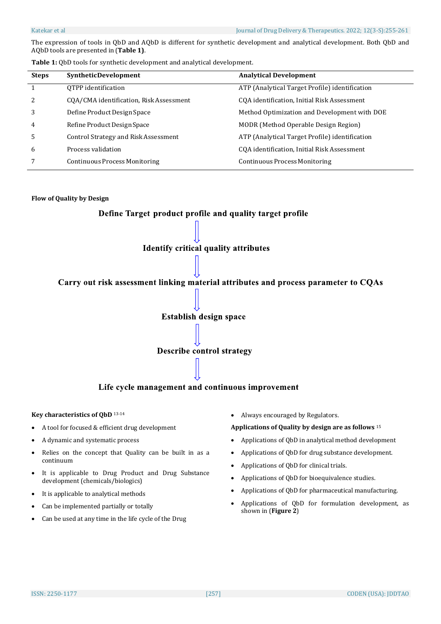The expression of tools in QbD and AQbD is different for synthetic development and analytical development. Both QbD and AQbD tools are presented in (**Table 1)**.

| <b>Steps</b> | SyntheticDevelopment                    | <b>Analytical Development</b>                  |
|--------------|-----------------------------------------|------------------------------------------------|
|              | OTPP identification                     | ATP (Analytical Target Profile) identification |
| 2            | CQA/CMA identification, Risk Assessment | CQA identification, Initial Risk Assessment    |
| 3            | Define Product Design Space             | Method Optimization and Development with DOE   |
| 4            | Refine Product Design Space             | MODR (Method Operable Design Region)           |
| 5            | Control Strategy and Risk Assessment    | ATP (Analytical Target Profile) identification |
| 6            | Process validation                      | CQA identification, Initial Risk Assessment    |
|              | Continuous Process Monitoring           | <b>Continuous Process Monitoring</b>           |

### **Flow of Quality by Design**



### **Key characteristics of QbD** 13-14

- A tool for focused & efficient drug development
- A dynamic and systematic process
- Relies on the concept that Quality can be built in as a continuum
- It is applicable to Drug Product and Drug Substance development (chemicals/biologics)
- It is applicable to analytical methods
- Can be implemented partially or totally
- Can be used at any time in the life cycle of the Drug

Always encouraged by Regulators.

#### **Applications of Quality by design are as follows** <sup>15</sup>

- Applications of QbD in analytical method development
- Applications of QbD for drug substance development.
- Applications of QbD for clinical trials.
- Applications of QbD for bioequivalence studies.
- Applications of QbD for pharmaceutical manufacturing.
- Applications of QbD for formulation development, as shown in (**Figure 2**)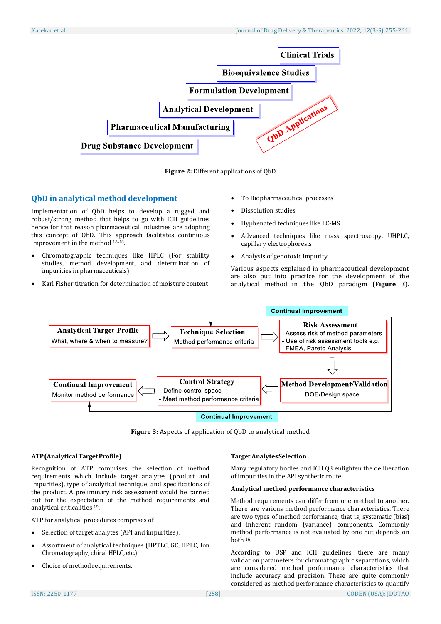

**Figure 2:** Different applications of QbD

# **QbD in analytical method development**

Implementation of QbD helps to develop a rugged and robust/strong method that helps to go with ICH guidelines hence for that reason pharmaceutical industries are adopting this concept of QbD. This approach facilitates continuous improvement in the method 16-18.

- Chromatographic techniques like HPLC (For stability studies, method development, and determination of impurities in pharmaceuticals)
- Karl Fisher titration for determination of moisture content
- To Biopharmaceutical processes
- Dissolution studies
- Hyphenated techniques like LC-MS
- Advanced techniques like mass spectroscopy, UHPLC, capillary electrophoresis
- Analysis of genotoxic impurity

Various aspects explained in pharmaceutical development are also put into practice for the development of the analytical method in the QbD paradigm (**Figure 3**).



**Figure 3:** Aspects of application of QbD to analytical method

### **ATP(AnalyticalTargetProfile)**

Recognition of ATP comprises the selection of method requirements which include target analytes (product and impurities), type of analytical technique, and specifications of the product. A preliminary risk assessment would be carried out for the expectation of the method requirements and analytical criticalities <sup>19</sup>.

ATP for analytical procedures comprises of

- Selection of target analytes (API and impurities),
- Assortment of analytical techniques (HPTLC, GC, HPLC, Ion Chromatography, chiral HPLC, etc.)
- Choice of method requirements.

#### **Target AnalytesSelection**

Many regulatory bodies and ICH Q3 enlighten the deliberation of impurities in the API synthetic route.

#### **Analytical method performance characteristics**

Method requirements can differ from one method to another. There are various method performance characteristics. There are two types of method performance, that is, systematic (bias) and inherent random (variance) components. Commonly method performance is not evaluated by one but depends on both <sup>16</sup>.

According to USP and ICH guidelines, there are many validation parameters for chromatographic separations, which are considered method performance characteristics that include accuracy and precision. These are quite commonly considered as method performance characteristics to quantify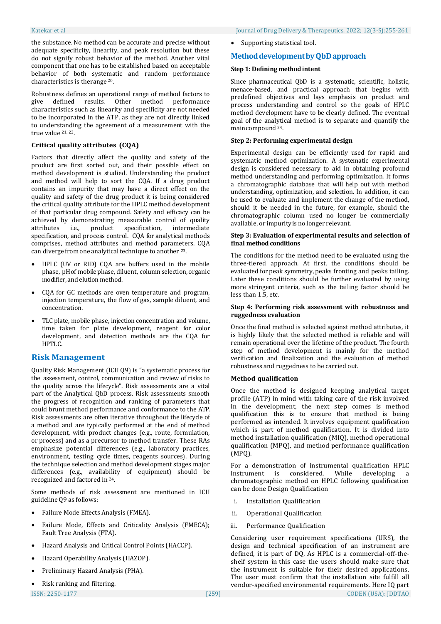the substance. No method can be accurate and precise without adequate specificity, linearity, and peak resolution but these do not signify robust behavior of the method. Another vital component that one has to be established based on acceptable behavior of both systematic and random performance characteristics is therange <sup>20</sup>.

Robustness defines an operational range of method factors to<br>give defined results. Other method performance give defined results. Other method performance characteristics such as linearity and specificity are not needed to be incorporated in the ATP, as they are not directly linked to understanding the agreement of a measurement with the true value 21, 22.

### **Critical quality attributes (CQA)**

Factors that directly affect the quality and safety of the product are first sorted out, and their possible effect on method development is studied. Understanding the product and method will help to sort the CQA. If a drug product contains an impurity that may have a direct effect on the quality and safety of the drug product it is being considered the critical quality attribute for the HPLC method development of that particular drug compound. Safety and efficacy can be achieved by demonstrating measurable control of quality attributes i.e., product specification, intermediate specification, and process control. CQA for analytical methods comprises, method attributes and method parameters. CQA can diverge from one analytical technique to another <sup>23</sup>.

- HPLC (UV or RID) CQA are buffers used in the mobile phase, pH of mobile phase, diluent, column selection, organic modifier, and elution method.
- CQA for GC methods are oven temperature and program, injection temperature, the flow of gas, sample diluent, and concentration.
- TLC plate, mobile phase, injection concentration and volume, time taken for plate development, reagent for color development, and detection methods are the CQA for HPTLC.

### **Risk Management**

Quality Risk Management (ICH Q9) is "a systematic process for the assessment, control, communication and review of risks to the quality across the lifecycle". Risk assessments are a vital part of the Analytical QbD process. Risk assessments smooth the progress of recognition and ranking of parameters that could brunt method performance and conformance to the ATP. Risk assessments are often iterative throughout the lifecycle of a method and are typically performed at the end of method development, with product changes (e.g., route, formulation, or process) and as a precursor to method transfer. These RAs emphasize potential differences (e.g., laboratory practices, environment, testing cycle times, reagents sources). During the technique selection and method development stages major differences (e.g., availability of equipment) should be recognized and factored in <sup>24</sup>.

Some methods of risk assessment are mentioned in ICH guidelineQ9 as follows:

- Failure Mode Effects Analysis (FMEA).
- Failure Mode, Effects and Criticality Analysis (FMECA); Fault Tree Analysis (FTA).
- Hazard Analysis and Critical Control Points (HACCP).
- Hazard Operability Analysis (HAZOP).
- Preliminary Hazard Analysis (PHA).

Supporting statistical tool.

# **MethoddevelopmentbyQbDapproach**

#### **Step 1: Defining methodintent**

Since pharmaceutical QbD is a systematic, scientific, holistic, menace-based, and practical approach that begins with predefined objectives and lays emphasis on product and process understanding and control so the goals of HPLC method development have to be clearly defined. The eventual goal of the analytical method is to separate and quantify the maincompound <sup>24</sup>.

# **Step 2: Performing experimental design**

Experimental design can be efficiently used for rapid and systematic method optimization. A systematic experimental design is considered necessary to aid in obtaining profound method understanding and performing optimization. It forms a chromatographic database that will help out with method understanding, optimization, and selection. In addition, it can be used to evaluate and implement the change of the method, should it be needed in the future, for example, should the chromatographic column used no longer be commercially available, or impurityis no longer relevant.

#### **Step 3: Evaluation of experimental results and selection of final method conditions**

The conditions for the method need to be evaluated using the three-tiered approach. At first, the conditions should be evaluated for peak symmetry, peaks fronting and peaks tailing. Later these conditions should be further evaluated by using more stringent criteria, such as the tailing factor should be less than 1.5, etc.

#### **Step 4: Performing risk assessment with robustness and ruggedness evaluation**

Once the final method is selected against method attributes, it is highly likely that the selected method is reliable and will remain operational over the lifetime of the product. The fourth step of method development is mainly for the method verification and finalization and the evaluation of method robustness and ruggedness to be carried out.

#### **Method qualification**

Once the method is designed keeping analytical target profile (ATP) in mind with taking care of the risk involved in the development, the next step comes is method qualification this is to ensure that method is being performed as intended. It involves equipment qualification which is part of method qualification. It is divided into method installation qualification (MIQ), method operational qualification (MPQ), and method performance qualification (MPQ).

For a demonstration of instrumental qualification HPLC instrument is considered. While developing a chromatographic method on HPLC following qualification can be done Design Qualification

- i. Installation Qualification
- ii. Operational Qualification
- iii. Performance Qualification

Considering user requirement specifications (URS), the design and technical specification of an instrument are defined, it is part of DQ. As HPLC is a commercial-off-theshelf system in this case the users should make sure that the instrument is suitable for their desired applications. The user must confirm that the installation site fulfill all vendor-specified environmental requirements. Here IQ part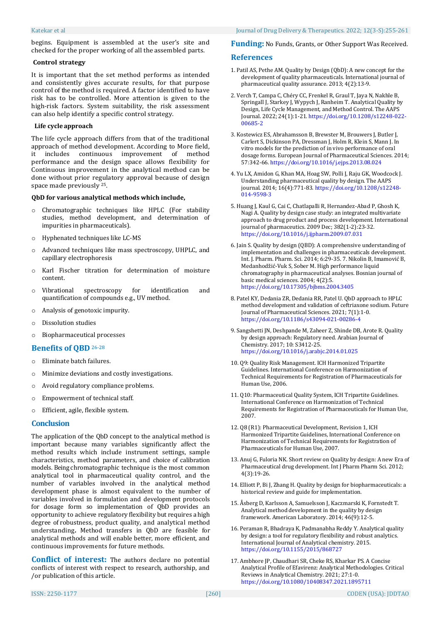begins. Equipment is assembled at the user's site and checked for the proper working of all the assembled parts.

#### **Control strategy**

It is important that the set method performs as intended and consistently gives accurate results, for that purpose control of the method is required. A factor identified to have risk has to be controlled. More attention is given to the high-risk factors. System suitability, the risk assessment can also help identify a specific control strategy.

### **Life cycle approach**

The life cycle approach differs from that of the traditional approach of method development. According to More field, it includes continuous improvement of method performance and the design space allows flexibility for Continuous improvement in the analytical method can be done without prior regulatory approval because of design space made previously <sup>25</sup>.

#### **QbD for various analytical methods which include,**

- o Chromatographic techniques like HPLC (For stability studies, method development, and determination of impurities in pharmaceuticals).
- o Hyphenated techniques like LC-MS
- o Advanced techniques like mass spectroscopy, UHPLC, and capillary electrophoresis
- o Karl Fischer titration for determination of moisture content.
- o Vibrational spectroscopy for identification and quantification of compounds e.g., UV method.
- o Analysis of genotoxic impurity.
- o Dissolution studies
- o Biopharmaceutical processes

# **Benefits of QBD** 26-28

- o Eliminate batch failures.
- o Minimize deviations and costly investigations.
- o Avoid regulatory compliance problems.
- o Empowerment of technical staff.
- o Efficient, agile, flexible system.

### **Conclusion**

The application of the QbD concept to the analytical method is important because many variables significantly affect the method results which include instrument settings, sample characteristics, method parameters, and choice of calibration models. Being chromatographic technique is the most common analytical tool in pharmaceutical quality control, and the number of variables involved in the analytical method development phase is almost equivalent to the number of variables involved in formulation and development protocols for dosage form so implementation of QbD provides an opportunity to achieve regulatory flexibility but requires a high degree of robustness, product quality, and analytical method understanding**.** Method transfers in QbD are feasible for analytical methods and will enable better, more efficient, and continuous improvements for future methods.

**Conflict of interest:** The authors declare no potential conflicts of interest with respect to research, authorship, and /or publication of this article.

### **Funding:** No Funds, Grants, or Other Support Was Received.

#### **References**

- 1. Patil AS, Pethe AM. Quality by Design (QbD): A new concept for the development of quality pharmaceuticals. International journal of pharmaceutical quality assurance. 2013; 4(2):13-9.
- 2. Verch T, Campa C, Chéry CC, Frenkel R, Graul T, Jaya N, Nakhle B, Springall J, Starkey J, Wypych J, Ranheim T. Analytical Quality by Design, Life Cycle Management, and Method Control. The AAPS Journal. 2022; 24(1):1-21[. https://doi.org/10.1208/s12248-022-](https://doi.org/10.1208/s12248-022-00685-2) [00685-2](https://doi.org/10.1208/s12248-022-00685-2)
- 3. Kostewicz ES, Abrahamsson B, Brewster M, Brouwers J, Butler J, Carlert S, Dickinson PA, Dressman J, Holm R, Klein S, Mann J. In vitro models for the prediction of in vivo performance of oral dosage forms. European Journal of Pharmaceutical Sciences. 2014; 57:342-66[. https://doi.org/10.1016/j.ejps.2013.08.024](https://doi.org/10.1016/j.ejps.2013.08.024)
- 4. Yu LX, Amidon G, Khan MA, Hoag SW, Polli J, Raju GK, Woodcock J. Understanding pharmaceutical quality by design. The AAPS journal. 2014; 16(4):771-83[. https://doi.org/10.1208/s12248-](https://doi.org/10.1208/s12248-014-9598-3) [014-9598-3](https://doi.org/10.1208/s12248-014-9598-3)
- 5. Huang J, Kaul G, Cai C, Chatlapalli R, Hernandez-Abad P, Ghosh K, Nagi A. Quality by design case study: an integrated multivariate approach to drug product and process development. International journal of pharmaceutics. 2009 Dec; 382(1-2):23-32. <https://doi.org/10.1016/j.ijpharm.2009.07.031>
- 6. Jain S. Quality by design (QBD): A comprehensive understanding of implementation and challenges in pharmaceuticals development. Int. J. Pharm. Pharm. Sci. 2014; 6:29-35. 7. Nikolin B, Imamović B, Medanhodžić-Vuk S, Sober M. High performance liquid chromatography in pharmaceutical analyses. Bosnian journal of basic medical sciences. 2004; 4(2):5. <https://doi.org/10.17305/bjbms.2004.3405>
- 8. Patel KY, Dedania ZR, Dedania RR, Patel U. QbD approach to HPLC method development and validation of ceftriaxone sodium. Future Journal of Pharmaceutical Sciences. 2021; 7(1):1-0. <https://doi.org/10.1186/s43094-021-00286-4>
- 9. Sangshetti JN, Deshpande M, Zaheer Z, Shinde DB, Arote R. Quality by design approach: Regulatory need. Arabian Journal of Chemistry. 2017; 10: S3412-25. <https://doi.org/10.1016/j.arabjc.2014.01.025>
- 10. Q9: Quality Risk Management. ICH Harmonized Tripartite Guidelines. International Conference on Harmonization of Technical Requirements for Registration of Pharmaceuticals for Human Use, 2006.
- 11. Q10: Pharmaceutical Quality System, ICH Tripartite Guidelines. International Conference on Harmonization of Technical Requirements for Registration of Pharmaceuticals for Human Use, 2007.
- 12. Q8 (R1): Pharmaceutical Development, Revision 1, ICH Harmonized Tripartite Guidelines, International Conference on Harmonization of Technical Requirements for Registration of Pharmaceuticals for Human Use, 2007.
- 13. Anuj G, Fuloria NK. Short review on Quality by design: A new Era of Pharmaceutical drug development. Int J Pharm Pharm Sci. 2012; 4(3):19-26.
- 14. Elliott P, Bi J, Zhang H. Quality by design for biopharmaceuticals: a historical review and guide for implementation.
- 15. Åsberg D, Karlsson A, Samuelsson J, Kaczmarski K, Fornstedt T. Analytical method development in the quality by design framework. American Laboratory. 2014; 46(9):12-5.
- 16. Peraman R, Bhadraya K, Padmanabha Reddy Y. Analytical quality by design: a tool for regulatory flexibility and robust analytics. International Journal of Analytical chemistry. 2015. <https://doi.org/10.1155/2015/868727>
- 17. Ambhore JP, Chaudhari SR, Cheke RS, Kharkar PS. A Concise Analytical Profile of Efavirenz: Analytical Methodologies. Critical Reviews in Analytical Chemistry. 2021; 27:1-0. <https://doi.org/10.1080/10408347.2021.1895711>